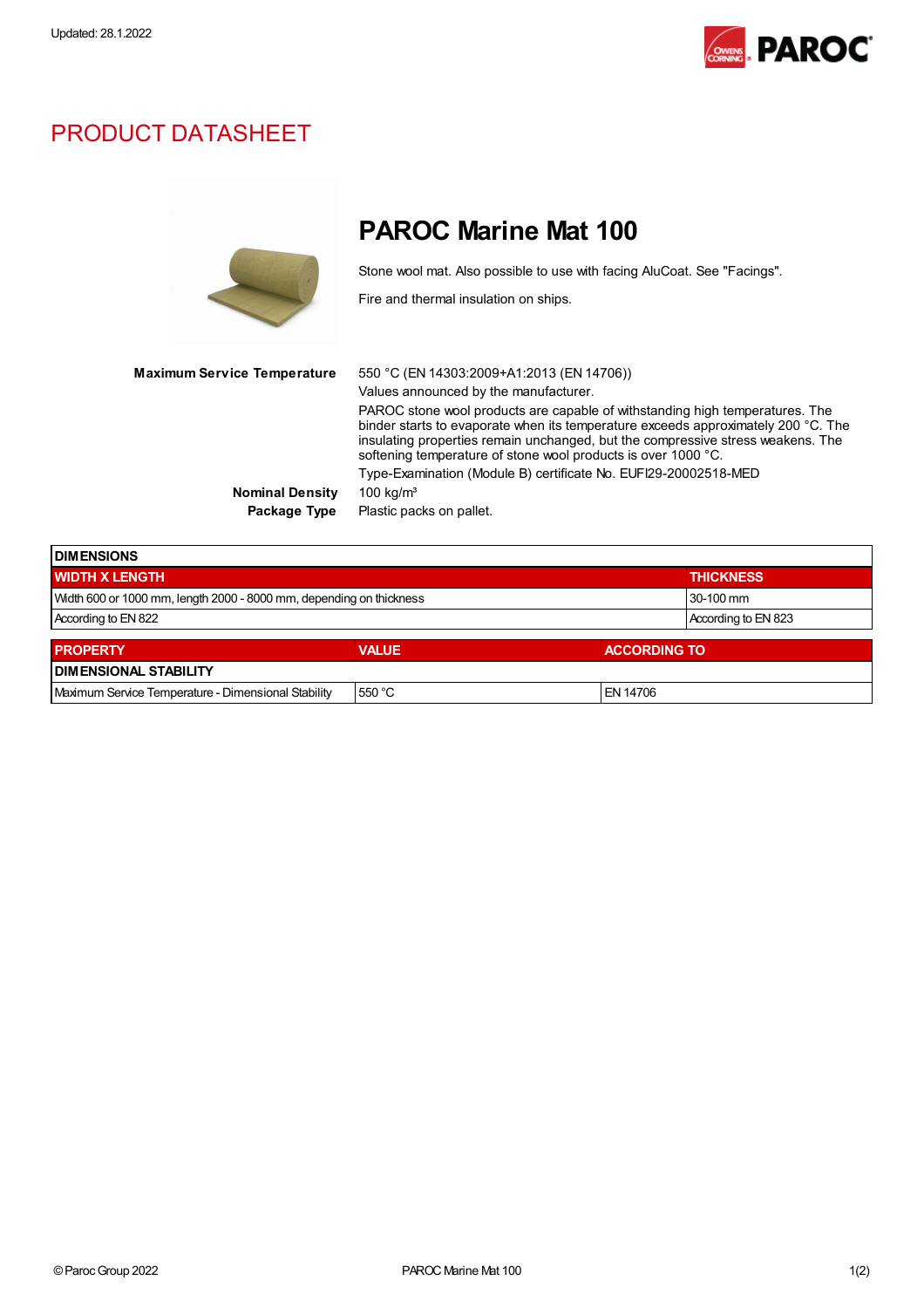

## PRODUCT DATASHEET

|                             | <b>PAROC Marine Mat 100</b>                                                                                                                                                                                                                                                                                                                                                                                                                                                    |
|-----------------------------|--------------------------------------------------------------------------------------------------------------------------------------------------------------------------------------------------------------------------------------------------------------------------------------------------------------------------------------------------------------------------------------------------------------------------------------------------------------------------------|
|                             | Stone wool mat. Also possible to use with facing AluCoat. See "Facings".<br>Fire and thermal insulation on ships.                                                                                                                                                                                                                                                                                                                                                              |
| Maximum Service Temperature | 550 °C (EN 14303:2009+A1:2013 (EN 14706))<br>Values announced by the manufacturer.<br>PAROC stone wool products are capable of withstanding high temperatures. The<br>binder starts to evaporate when its temperature exceeds approximately 200 °C. The<br>insulating properties remain unchanged, but the compressive stress weakens. The<br>softening temperature of stone wool products is over 1000 °C.<br>Type-Examination (Module B) certificate No. EUFI29-20002518-MED |
| <b>Nominal Density</b>      | 100 kg/ $m3$                                                                                                                                                                                                                                                                                                                                                                                                                                                                   |
| Package Type                | Plastic packs on pallet.                                                                                                                                                                                                                                                                                                                                                                                                                                                       |
|                             |                                                                                                                                                                                                                                                                                                                                                                                                                                                                                |

| <b>I DIMENSIONS</b>                                                 |                     |                     |  |  |  |  |
|---------------------------------------------------------------------|---------------------|---------------------|--|--|--|--|
| <b>WIDTH X LENGTH</b>                                               | <b>THICKNESS</b>    |                     |  |  |  |  |
| Width 600 or 1000 mm, length 2000 - 8000 mm, depending on thickness | 30-100 mm           |                     |  |  |  |  |
| According to EN 822                                                 | According to EN 823 |                     |  |  |  |  |
| <b>PROPERTY</b>                                                     | <b>VALUE</b>        | <b>ACCORDING TO</b> |  |  |  |  |
| <b>DIMENSIONAL STABILITY</b>                                        |                     |                     |  |  |  |  |
| Maximum Service Temperature - Dimensional Stability                 | 550 °C              | EN 14706            |  |  |  |  |